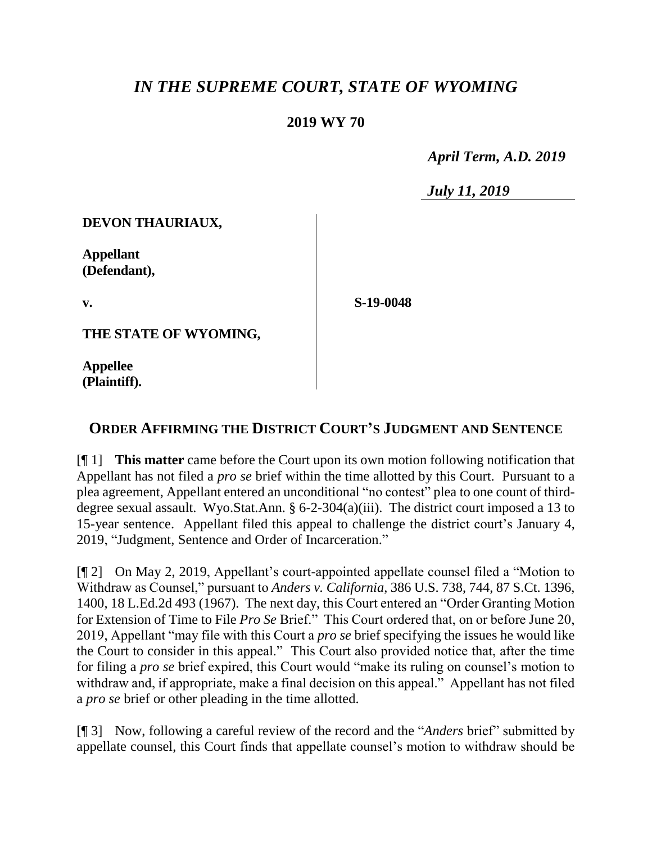## *IN THE SUPREME COURT, STATE OF WYOMING*

## **2019 WY 70**

 *April Term, A.D. 2019*

*July 11, 2019*

**DEVON THAURIAUX,**

**Appellant (Defendant),**

**v.**

**S-19-0048**

**THE STATE OF WYOMING,**

**Appellee (Plaintiff).**

## **ORDER AFFIRMING THE DISTRICT COURT'S JUDGMENT AND SENTENCE**

[¶ 1] **This matter** came before the Court upon its own motion following notification that Appellant has not filed a *pro se* brief within the time allotted by this Court. Pursuant to a plea agreement, Appellant entered an unconditional "no contest" plea to one count of thirddegree sexual assault. Wyo.Stat.Ann. § 6-2-304(a)(iii). The district court imposed a 13 to 15-year sentence. Appellant filed this appeal to challenge the district court's January 4, 2019, "Judgment, Sentence and Order of Incarceration."

[¶ 2] On May 2, 2019, Appellant's court-appointed appellate counsel filed a "Motion to Withdraw as Counsel," pursuant to *Anders v. California*, 386 U.S. 738, 744, 87 S.Ct. 1396, 1400, 18 L.Ed.2d 493 (1967). The next day, this Court entered an "Order Granting Motion for Extension of Time to File *Pro Se* Brief." This Court ordered that, on or before June 20, 2019, Appellant "may file with this Court a *pro se* brief specifying the issues he would like the Court to consider in this appeal." This Court also provided notice that, after the time for filing a *pro se* brief expired, this Court would "make its ruling on counsel's motion to withdraw and, if appropriate, make a final decision on this appeal." Appellant has not filed a *pro se* brief or other pleading in the time allotted.

[¶ 3] Now, following a careful review of the record and the "*Anders* brief" submitted by appellate counsel, this Court finds that appellate counsel's motion to withdraw should be